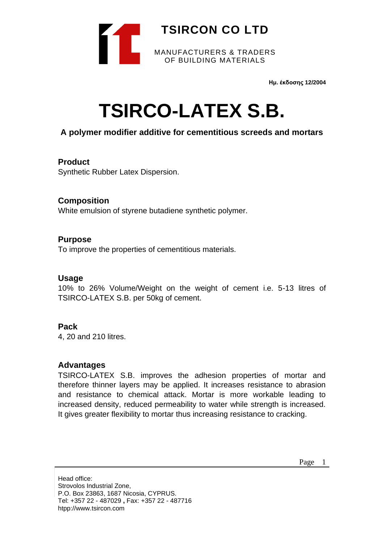

**Ημ. έκδοσης 12/2004**

# **TSIRCO-LATEX S.B.**

#### **A polymer modifier additive for cementitious screeds and mortars**

#### **Product**

Synthetic Rubber Latex Dispersion.

#### **Composition**

White emulsion of styrene butadiene synthetic polymer.

#### **Purpose**

To improve the properties of cementitious materials.

#### **Usage**

10% to 26% Volume/Weight on the weight of cement i.e. 5-13 litres of TSIRCO-LATEX S.B. per 50kg of cement.

#### **Pack**

4, 20 and 210 litres.

#### **Advantages**

TSIRCO-LATEX S.B. improves the adhesion properties of mortar and therefore thinner layers may be applied. It increases resistance to abrasion and resistance to chemical attack. Mortar is more workable leading to increased density, reduced permeability to water while strength is increased. It gives greater flexibility to mortar thus increasing resistance to cracking.

Page 1

Head office: Strovolos Industrial Zone, P.O. Box 23863, 1687 Nicosia, CYPRUS. Tel: +357 22 - 487029 **,** Fax: +357 22 - 487716 htpp://www.tsircon.com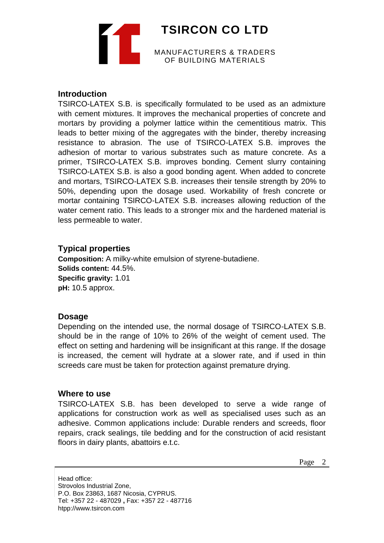**TSIRCON CO LTD** MANUFACTURERS & TRADERS OF BUILDING MATERIALS

#### **Introduction**

TSIRCO-LATEX S.B. is specifically formulated to be used as an admixture with cement mixtures. It improves the mechanical properties of concrete and mortars by providing a polymer lattice within the cementitious matrix. This leads to better mixing of the aggregates with the binder, thereby increasing resistance to abrasion. The use of TSIRCO-LATEX S.B. improves the adhesion of mortar to various substrates such as mature concrete. As a primer, TSIRCO-LATEX S.B. improves bonding. Cement slurry containing TSIRCO-LATEX S.B. is also a good bonding agent. When added to concrete and mortars, TSIRCO-LATEX S.B. increases their tensile strength by 20% to 50%, depending upon the dosage used. Workability of fresh concrete or mortar containing TSIRCO-LATEX S.B. increases allowing reduction of the water cement ratio. This leads to a stronger mix and the hardened material is less permeable to water.

#### **Typical properties**

**Composition:** A milky-white emulsion of styrene-butadiene. **Solids content:** 44.5%. **Specific gravity:** 1.01 **pH:** 10.5 approx.

#### **Dosage**

Depending on the intended use, the normal dosage of TSIRCO-LATEX S.B. should be in the range of 10% to 26% of the weight of cement used. The effect on setting and hardening will be insignificant at this range. If the dosage is increased, the cement will hydrate at a slower rate, and if used in thin screeds care must be taken for protection against premature drying.

#### **Where to use**

TSIRCO-LATEX S.B. has been developed to serve a wide range of applications for construction work as well as specialised uses such as an adhesive. Common applications include: Durable renders and screeds, floor repairs, crack sealings, tile bedding and for the construction of acid resistant floors in dairy plants, abattoirs e.t.c.

Page 2

Head office: Strovolos Industrial Zone, P.O. Box 23863, 1687 Nicosia, CYPRUS. Tel: +357 22 - 487029 **,** Fax: +357 22 - 487716 htpp://www.tsircon.com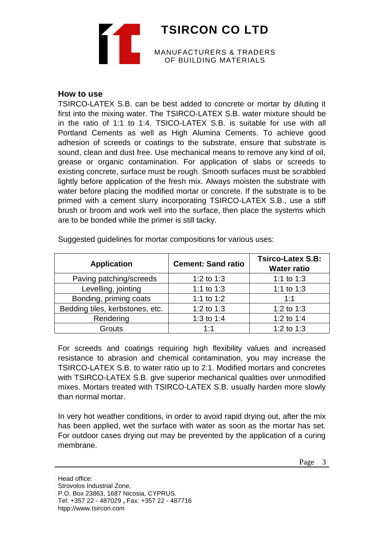## **TSIRCON CO LTD** MANUFACTURERS & TRADERS OF BUILDING MATERIALS

#### **How to use**

TSIRCO-LATEX S.B. can be best added to concrete or mortar by diluting it first into the mixing water. The TSIRCO-LATEX S.B. water mixture should be in the ratio of 1:1 to 1:4. TSICO-LATEX S.B. is suitable for use with all Portland Cements as well as High Alumina Cements. To achieve good adhesion of screeds or coatings to the substrate, ensure that substrate is sound, clean and dust free. Use mechanical means to remove any kind of oil, grease or organic contamination. For application of slabs or screeds to existing concrete, surface must be rough. Smooth surfaces must be scrabbled lightly before application of the fresh mix. Always moisten the substrate with water before placing the modified mortar or concrete. If the substrate is to be primed with a cement slurry incorporating TSIRCO-LATEX S.B., use a stiff brush or broom and work well into the surface, then place the systems which are to be bonded while the primer is still tacky.

| <b>Application</b>              | <b>Cement: Sand ratio</b> | <b>Tsirco-Latex S.B:</b><br><b>Water ratio</b> |
|---------------------------------|---------------------------|------------------------------------------------|
| Paving patching/screeds         | 1:2 to 1:3                | 1:1 to 1:3                                     |
| Levelling, jointing             | 1:1 to 1:3                | 1:1 to 1:3                                     |
| Bonding, priming coats          | 1:1 to 1:2                | 1:1                                            |
| Bedding tiles, kerbstones, etc. | 1:2 to $1:3$              | 1:2 to 1:3                                     |
| Rendering                       | 1:3 to 1:4                | 1:2 to 1:4                                     |
| Grouts                          | 1:1                       | 1:2 to 1:3                                     |

Suggested guidelines for mortar compositions for various uses:

For screeds and coatings requiring high flexibility values and increased resistance to abrasion and chemical contamination, you may increase the TSIRCO-LATEX S.B. to water ratio up to 2:1. Modified mortars and concretes with TSIRCO-LATEX S.B. give superior mechanical qualities over unmodified mixes. Mortars treated with TSIRCO-LATEX S.B. usually harden more slowly than normal mortar.

In very hot weather conditions, in order to avoid rapid drying out, after the mix has been applied, wet the surface with water as soon as the mortar has set. For outdoor cases drying out may be prevented by the application of a curing membrane.